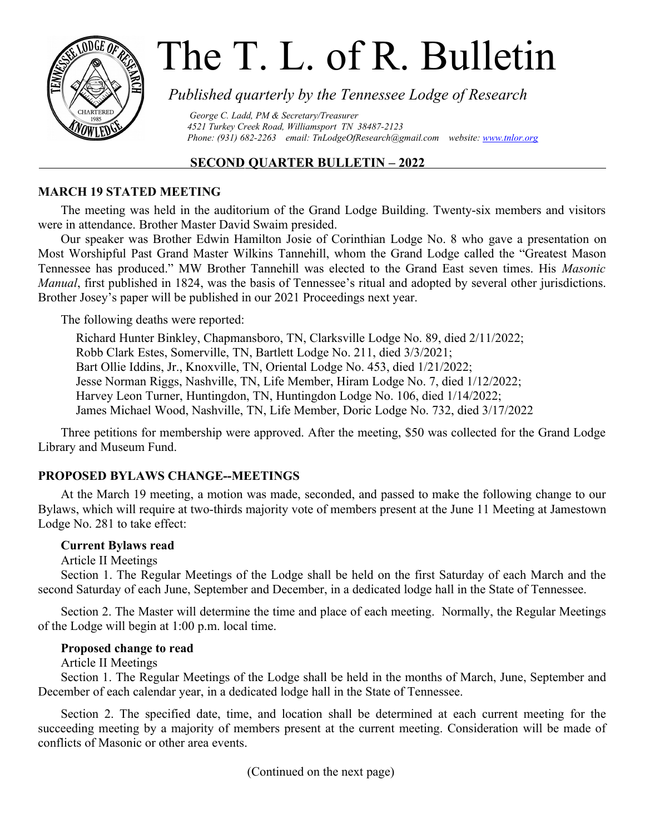

# The T. L. of R. Bulletin

# *Published quarterly by the Tennessee Lodge of Research*

 *George C. Ladd, PM & Secretary/Treasurer 4521 Turkey Creek Road, Williamsport TN 38487-2123 Phone: (931) 682-2263 email: [TnLodgeOfResearch@gmail.com](mailto:TnLodgeOfResearch@gmail.com) website: [www.tnlor.org](http://www.tnlor.org/)*

# **SECOND QUARTER BULLETIN – 2022**

# **MARCH 19 STATED MEETING**

The meeting was held in the auditorium of the Grand Lodge Building. Twenty-six members and visitors were in attendance. Brother Master David Swaim presided.

Our speaker was Brother Edwin Hamilton Josie of Corinthian Lodge No. 8 who gave a presentation on Most Worshipful Past Grand Master Wilkins Tannehill, whom the Grand Lodge called the "Greatest Mason Tennessee has produced." MW Brother Tannehill was elected to the Grand East seven times. His *Masonic Manual*, first published in 1824, was the basis of Tennessee's ritual and adopted by several other jurisdictions. Brother Josey's paper will be published in our 2021 Proceedings next year.

The following deaths were reported:

Richard Hunter Binkley, Chapmansboro, TN, Clarksville Lodge No. 89, died 2/11/2022; Robb Clark Estes, Somerville, TN, Bartlett Lodge No. 211, died 3/3/2021; Bart Ollie Iddins, Jr., Knoxville, TN, Oriental Lodge No. 453, died 1/21/2022; Jesse Norman Riggs, Nashville, TN, Life Member, Hiram Lodge No. 7, died 1/12/2022; Harvey Leon Turner, Huntingdon, TN, Huntingdon Lodge No. 106, died 1/14/2022; James Michael Wood, Nashville, TN, Life Member, Doric Lodge No. 732, died 3/17/2022

Three petitions for membership were approved. After the meeting, \$50 was collected for the Grand Lodge Library and Museum Fund.

# **PROPOSED BYLAWS CHANGE--MEETINGS**

At the March 19 meeting, a motion was made, seconded, and passed to make the following change to our Bylaws, which will require at two-thirds majority vote of members present at the June 11 Meeting at Jamestown Lodge No. 281 to take effect:

## **Current Bylaws read**

## Article II Meetings

Section 1. The Regular Meetings of the Lodge shall be held on the first Saturday of each March and the second Saturday of each June, September and December, in a dedicated lodge hall in the State of Tennessee.

Section 2. The Master will determine the time and place of each meeting. Normally, the Regular Meetings of the Lodge will begin at 1:00 p.m. local time.

## **Proposed change to read**

Article II Meetings

Section 1. The Regular Meetings of the Lodge shall be held in the months of March, June, September and December of each calendar year, in a dedicated lodge hall in the State of Tennessee.

Section 2. The specified date, time, and location shall be determined at each current meeting for the succeeding meeting by a majority of members present at the current meeting. Consideration will be made of conflicts of Masonic or other area events.

(Continued on the next page)